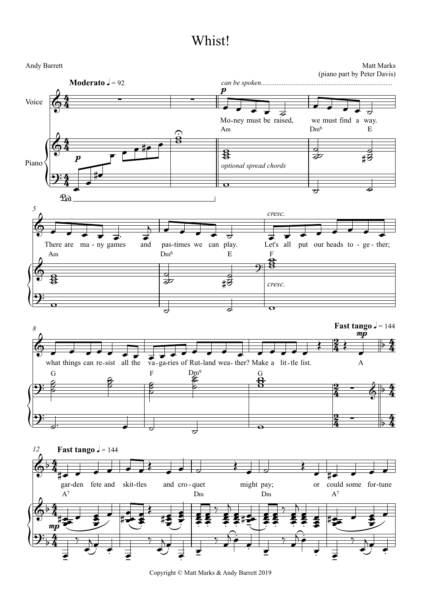

Copyright © Matt Marks & Andy Barrett 2019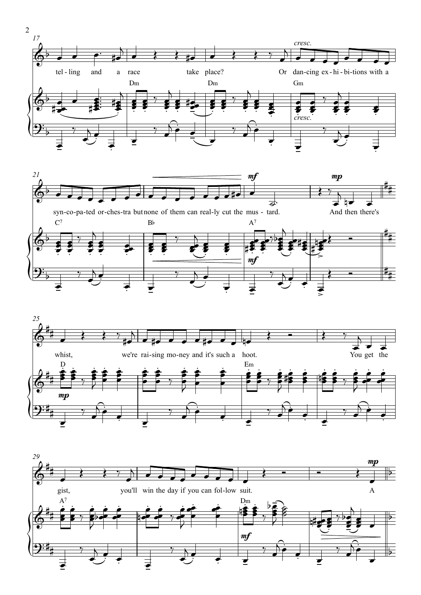

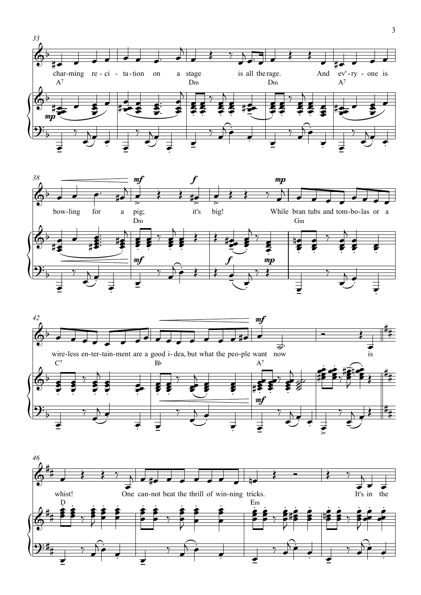





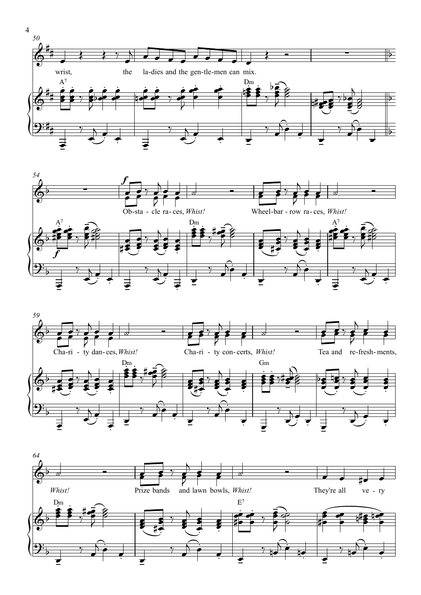







 $\overline{4}$